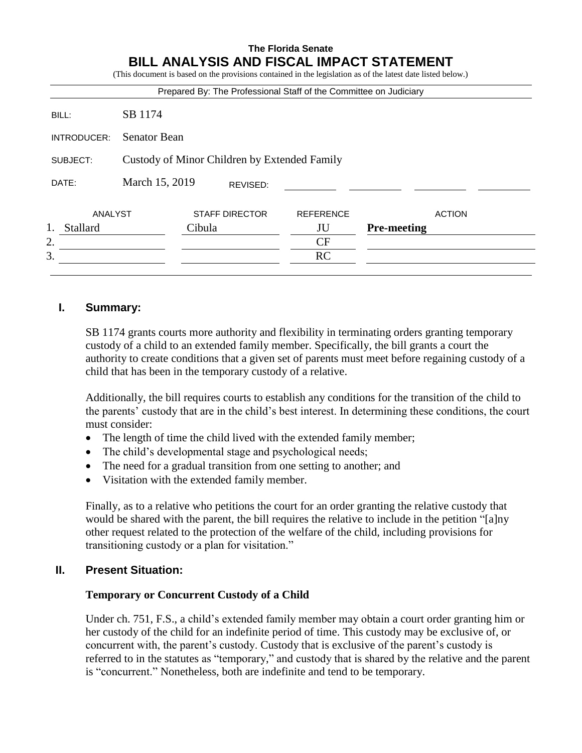# **The Florida Senate BILL ANALYSIS AND FISCAL IMPACT STATEMENT**

(This document is based on the provisions contained in the legislation as of the latest date listed below.) Prepared By: The Professional Staff of the Committee on Judiciary BILL: SB 1174 INTRODUCER: Senator Bean SUBJECT: Custody of Minor Children by Extended Family DATE: March 15, 2019 ANALYST STAFF DIRECTOR REFERENCE ACTION 1. Stallard Cibula JU **Pre-meeting**  $2.$  CF  $3.$  RC REVISED:

# **I. Summary:**

SB 1174 grants courts more authority and flexibility in terminating orders granting temporary custody of a child to an extended family member. Specifically, the bill grants a court the authority to create conditions that a given set of parents must meet before regaining custody of a child that has been in the temporary custody of a relative.

Additionally, the bill requires courts to establish any conditions for the transition of the child to the parents' custody that are in the child's best interest. In determining these conditions, the court must consider:

- The length of time the child lived with the extended family member;
- The child's developmental stage and psychological needs;
- The need for a gradual transition from one setting to another; and
- Visitation with the extended family member.

Finally, as to a relative who petitions the court for an order granting the relative custody that would be shared with the parent, the bill requires the relative to include in the petition "[a]ny other request related to the protection of the welfare of the child, including provisions for transitioning custody or a plan for visitation."

### **II. Present Situation:**

### **Temporary or Concurrent Custody of a Child**

Under ch. 751, F.S., a child's extended family member may obtain a court order granting him or her custody of the child for an indefinite period of time. This custody may be exclusive of, or concurrent with, the parent's custody. Custody that is exclusive of the parent's custody is referred to in the statutes as "temporary," and custody that is shared by the relative and the parent is "concurrent." Nonetheless, both are indefinite and tend to be temporary.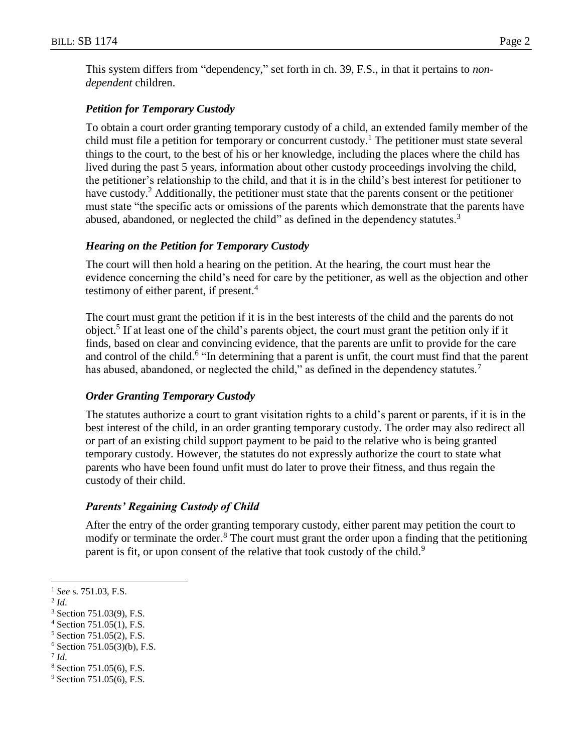This system differs from "dependency," set forth in ch. 39, F.S., in that it pertains to *nondependent* children.

### *Petition for Temporary Custody*

To obtain a court order granting temporary custody of a child, an extended family member of the child must file a petition for temporary or concurrent custody.<sup>1</sup> The petitioner must state several things to the court, to the best of his or her knowledge, including the places where the child has lived during the past 5 years, information about other custody proceedings involving the child, the petitioner's relationship to the child, and that it is in the child's best interest for petitioner to have custody.<sup>2</sup> Additionally, the petitioner must state that the parents consent or the petitioner must state "the specific acts or omissions of the parents which demonstrate that the parents have abused, abandoned, or neglected the child" as defined in the dependency statutes.<sup>3</sup>

## *Hearing on the Petition for Temporary Custody*

The court will then hold a hearing on the petition. At the hearing, the court must hear the evidence concerning the child's need for care by the petitioner, as well as the objection and other testimony of either parent, if present.<sup>4</sup>

The court must grant the petition if it is in the best interests of the child and the parents do not object.<sup>5</sup> If at least one of the child's parents object, the court must grant the petition only if it finds, based on clear and convincing evidence, that the parents are unfit to provide for the care and control of the child.<sup>6</sup> "In determining that a parent is unfit, the court must find that the parent has abused, abandoned, or neglected the child," as defined in the dependency statutes. $^7$ 

### *Order Granting Temporary Custody*

The statutes authorize a court to grant visitation rights to a child's parent or parents, if it is in the best interest of the child, in an order granting temporary custody. The order may also redirect all or part of an existing child support payment to be paid to the relative who is being granted temporary custody. However, the statutes do not expressly authorize the court to state what parents who have been found unfit must do later to prove their fitness, and thus regain the custody of their child.

# *Parents' Regaining Custody of Child*

After the entry of the order granting temporary custody, either parent may petition the court to modify or terminate the order.<sup>8</sup> The court must grant the order upon a finding that the petitioning parent is fit, or upon consent of the relative that took custody of the child.<sup>9</sup>

 $\overline{a}$ 

- <sup>6</sup> Section 751.05(3)(b), F.S.
- 7 *Id*.
- <sup>8</sup> Section 751.05(6), F.S.

<sup>1</sup> *See* s. 751.03, F.S.

<sup>2</sup> *Id*.

<sup>3</sup> Section 751.03(9), F.S.

 $4$  Section 751.05(1), F.S.

<sup>5</sup> Section 751.05(2), F.S.

<sup>&</sup>lt;sup>9</sup> Section 751.05(6), F.S.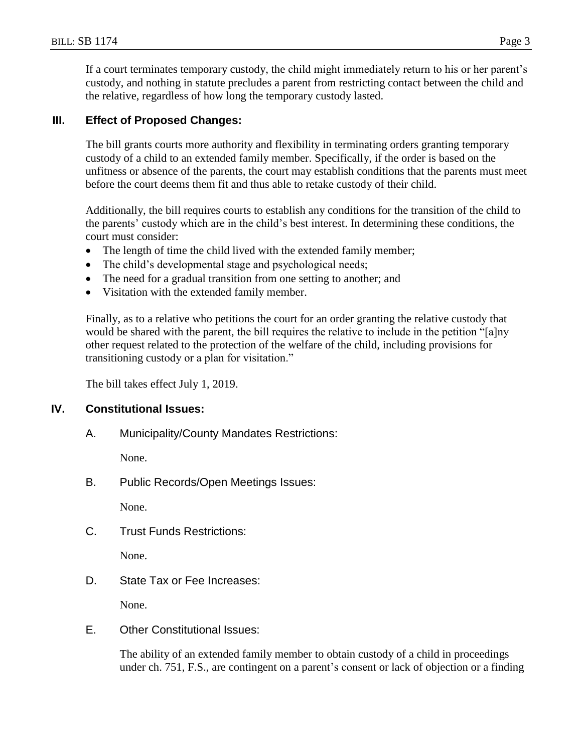If a court terminates temporary custody, the child might immediately return to his or her parent's custody, and nothing in statute precludes a parent from restricting contact between the child and the relative, regardless of how long the temporary custody lasted.

# **III. Effect of Proposed Changes:**

The bill grants courts more authority and flexibility in terminating orders granting temporary custody of a child to an extended family member. Specifically, if the order is based on the unfitness or absence of the parents, the court may establish conditions that the parents must meet before the court deems them fit and thus able to retake custody of their child.

Additionally, the bill requires courts to establish any conditions for the transition of the child to the parents' custody which are in the child's best interest. In determining these conditions, the court must consider:

- The length of time the child lived with the extended family member;
- The child's developmental stage and psychological needs;
- The need for a gradual transition from one setting to another; and
- Visitation with the extended family member.

Finally, as to a relative who petitions the court for an order granting the relative custody that would be shared with the parent, the bill requires the relative to include in the petition "[a]ny other request related to the protection of the welfare of the child, including provisions for transitioning custody or a plan for visitation."

The bill takes effect July 1, 2019.

# **IV. Constitutional Issues:**

A. Municipality/County Mandates Restrictions:

None.

B. Public Records/Open Meetings Issues:

None.

C. Trust Funds Restrictions:

None.

D. State Tax or Fee Increases:

None.

E. Other Constitutional Issues:

The ability of an extended family member to obtain custody of a child in proceedings under ch. 751, F.S., are contingent on a parent's consent or lack of objection or a finding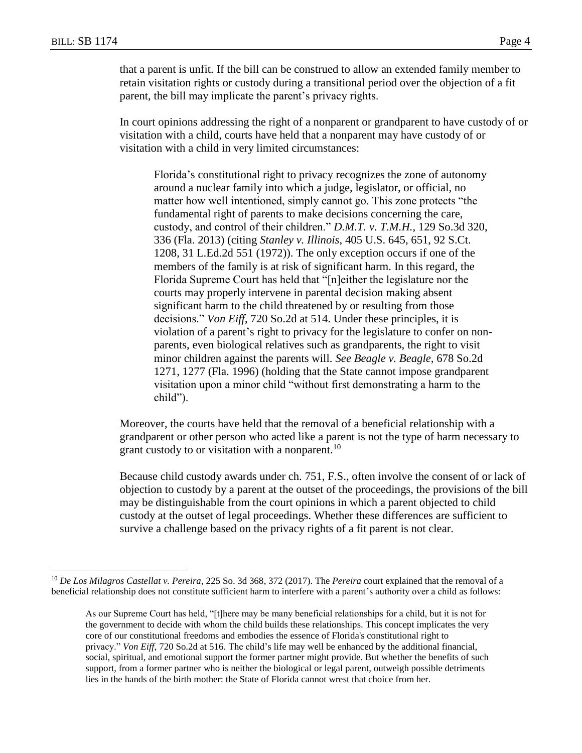$\overline{a}$ 

that a parent is unfit. If the bill can be construed to allow an extended family member to retain visitation rights or custody during a transitional period over the objection of a fit parent, the bill may implicate the parent's privacy rights.

In court opinions addressing the right of a nonparent or grandparent to have custody of or visitation with a child, courts have held that a nonparent may have custody of or visitation with a child in very limited circumstances:

Florida's constitutional right to privacy recognizes the zone of autonomy around a nuclear family into which a judge, legislator, or official, no matter how well intentioned, simply cannot go. This zone protects "the fundamental right of parents to make decisions concerning the care, custody, and control of their children." *D.M.T. v. T.M.H.*, 129 So.3d 320, 336 (Fla. 2013) (citing *Stanley v. Illinois*, 405 U.S. 645, 651, 92 S.Ct. 1208, 31 L.Ed.2d 551 (1972)). The only exception occurs if one of the members of the family is at risk of significant harm. In this regard, the Florida Supreme Court has held that "[n]either the legislature nor the courts may properly intervene in parental decision making absent significant harm to the child threatened by or resulting from those decisions." *Von Eiff*, 720 So.2d at 514. Under these principles, it is violation of a parent's right to privacy for the legislature to confer on nonparents, even biological relatives such as grandparents, the right to visit minor children against the parents will. *See Beagle v. Beagle*, 678 So.2d 1271, 1277 (Fla. 1996) (holding that the State cannot impose grandparent visitation upon a minor child "without first demonstrating a harm to the child").

Moreover, the courts have held that the removal of a beneficial relationship with a grandparent or other person who acted like a parent is not the type of harm necessary to grant custody to or visitation with a nonparent.<sup>10</sup>

Because child custody awards under ch. 751, F.S., often involve the consent of or lack of objection to custody by a parent at the outset of the proceedings, the provisions of the bill may be distinguishable from the court opinions in which a parent objected to child custody at the outset of legal proceedings. Whether these differences are sufficient to survive a challenge based on the privacy rights of a fit parent is not clear.

<sup>10</sup> *De Los Milagros Castellat v. Pereira*, 225 So. 3d 368, 372 (2017). The *Pereira* court explained that the removal of a beneficial relationship does not constitute sufficient harm to interfere with a parent's authority over a child as follows:

As our Supreme Court has held, "[t]here may be many beneficial relationships for a child, but it is not for the government to decide with whom the child builds these relationships. This concept implicates the very core of our constitutional freedoms and embodies the essence of Florida's constitutional right to privacy." *Von Eiff*, 720 So.2d at 516. The child's life may well be enhanced by the additional financial, social, spiritual, and emotional support the former partner might provide. But whether the benefits of such support, from a former partner who is neither the biological or legal parent, outweigh possible detriments lies in the hands of the birth mother: the State of Florida cannot wrest that choice from her.